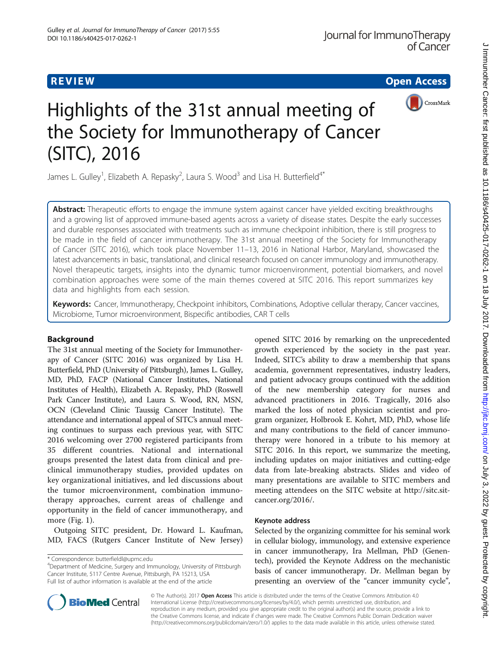Journal for ImmunoTherapy of Cancer

**REVIEW CONSTRUCTION CONSTRUCTION CONSTRUCTION CONSTRUCTS** 



# Highlights of the 31st annual meeting of the Society for Immunotherapy of Cancer (SITC), 2016

James L. Gulley<sup>1</sup>, Elizabeth A. Repasky<sup>2</sup>, Laura S. Wood<sup>3</sup> and Lisa H. Butterfield<sup>4\*</sup>

Abstract: Therapeutic efforts to engage the immune system against cancer have yielded exciting breakthroughs and a growing list of approved immune-based agents across a variety of disease states. Despite the early successes and durable responses associated with treatments such as immune checkpoint inhibition, there is still progress to be made in the field of cancer immunotherapy. The 31st annual meeting of the Society for Immunotherapy of Cancer (SITC 2016), which took place November 11–13, 2016 in National Harbor, Maryland, showcased the latest advancements in basic, translational, and clinical research focused on cancer immunology and immunotherapy. Novel therapeutic targets, insights into the dynamic tumor microenvironment, potential biomarkers, and novel combination approaches were some of the main themes covered at SITC 2016. This report summarizes key data and highlights from each session.

Keywords: Cancer, Immunotherapy, Checkpoint inhibitors, Combinations, Adoptive cellular therapy, Cancer vaccines, Microbiome, Tumor microenvironment, Bispecific antibodies, CAR T cells

# Background

The 31st annual meeting of the Society for Immunotherapy of Cancer (SITC 2016) was organized by Lisa H. Butterfield, PhD (University of Pittsburgh), James L. Gulley, MD, PhD, FACP (National Cancer Institutes, National Institutes of Health), Elizabeth A. Repasky, PhD (Roswell Park Cancer Institute), and Laura S. Wood, RN, MSN, OCN (Cleveland Clinic Taussig Cancer Institute). The attendance and international appeal of SITC's annual meeting continues to surpass each previous year, with SITC 2016 welcoming over 2700 registered participants from 35 different countries. National and international groups presented the latest data from clinical and preclinical immunotherapy studies, provided updates on key organizational initiatives, and led discussions about the tumor microenvironment, combination immunotherapy approaches, current areas of challenge and opportunity in the field of cancer immunotherapy, and more (Fig. [1](#page-1-0)).

Outgoing SITC president, Dr. Howard L. Kaufman, MD, FACS (Rutgers Cancer Institute of New Jersey)

\* Correspondence: [butterfieldl@upmc.edu](mailto:butterfieldl@upmc.edu) <sup>4</sup>

Department of Medicine, Surgery and Immunology, University of Pittsburgh Cancer Institute, 5117 Centre Avenue, Pittsburgh, PA 15213, USA Full list of author information is available at the end of the article

opened SITC 2016 by remarking on the unprecedented growth experienced by the society in the past year. Indeed, SITC's ability to draw a membership that spans academia, government representatives, industry leaders, and patient advocacy groups continued with the addition of the new membership category for nurses and advanced practitioners in 2016. Tragically, 2016 also marked the loss of noted physician scientist and program organizer, Holbrook E. Kohrt, MD, PhD, whose life and many contributions to the field of cancer immunotherapy were honored in a tribute to his memory at SITC 2016. In this report, we summarize the meeting, including updates on major initiatives and cutting-edge data from late-breaking abstracts. Slides and video of many presentations are available to SITC members and meeting attendees on the SITC website at [http://sitc.sit](http://sitc.sitcancer.org/2016/)[cancer.org/2016/.](http://sitc.sitcancer.org/2016/)

# Keynote address

Selected by the organizing committee for his seminal work in cellular biology, immunology, and extensive experience in cancer immunotherapy, Ira Mellman, PhD (Genentech), provided the Keynote Address on the mechanistic basis of cancer immunotherapy. Dr. Mellman began by presenting an overview of the "cancer immunity cycle",



© The Author(s). 2017 Open Access This article is distributed under the terms of the Creative Commons Attribution 4.0 International License [\(http://creativecommons.org/licenses/by/4.0/](http://creativecommons.org/licenses/by/4.0/)), which permits unrestricted use, distribution, and reproduction in any medium, provided you give appropriate credit to the original author(s) and the source, provide a link to the Creative Commons license, and indicate if changes were made. The Creative Commons Public Domain Dedication waiver [\(http://creativecommons.org/publicdomain/zero/1.0/](http://creativecommons.org/publicdomain/zero/1.0/)) applies to the data made available in this article, unless otherwise stated.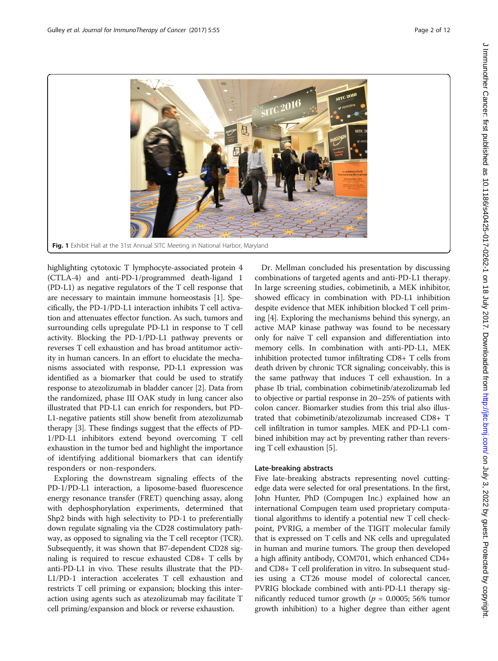<span id="page-1-0"></span>

highlighting cytotoxic T lymphocyte-associated protein 4 (CTLA-4) and anti-PD-1/programmed death-ligand 1 (PD-L1) as negative regulators of the T cell response that are necessary to maintain immune homeostasis [[1\]](#page-11-0). Specifically, the PD-1/PD-L1 interaction inhibits T cell activation and attenuates effector function. As such, tumors and surrounding cells upregulate PD-L1 in response to T cell activity. Blocking the PD-1/PD-L1 pathway prevents or reverses T cell exhaustion and has broad antitumor activity in human cancers. In an effort to elucidate the mechanisms associated with response, PD-L1 expression was identified as a biomarker that could be used to stratify response to atezolizumab in bladder cancer [[2](#page-11-0)]. Data from the randomized, phase III OAK study in lung cancer also illustrated that PD-L1 can enrich for responders, but PD-L1-negative patients still show benefit from atezolizumab therapy [[3\]](#page-11-0). These findings suggest that the effects of PD-1/PD-L1 inhibitors extend beyond overcoming T cell exhaustion in the tumor bed and highlight the importance of identifying additional biomarkers that can identify responders or non-responders.

Exploring the downstream signaling effects of the PD-1/PD-L1 interaction, a liposome-based fluorescence energy resonance transfer (FRET) quenching assay, along with dephosphorylation experiments, determined that Shp2 binds with high selectivity to PD-1 to preferentially down regulate signaling via the CD28 costimulatory pathway, as opposed to signaling via the T cell receptor (TCR). Subsequently, it was shown that B7-dependent CD28 signaling is required to rescue exhausted CD8+ T cells by anti-PD-L1 in vivo. These results illustrate that the PD-L1/PD-1 interaction accelerates T cell exhaustion and restricts T cell priming or expansion; blocking this interaction using agents such as atezolizumab may facilitate T cell priming/expansion and block or reverse exhaustion.

Dr. Mellman concluded his presentation by discussing combinations of targeted agents and anti-PD-L1 therapy. In large screening studies, cobimetinib, a MEK inhibitor, showed efficacy in combination with PD-L1 inhibition despite evidence that MEK inhibition blocked T cell priming [\[4](#page-11-0)]. Exploring the mechanisms behind this synergy, an active MAP kinase pathway was found to be necessary only for naïve T cell expansion and differentiation into memory cells. In combination with anti-PD-L1, MEK inhibition protected tumor infiltrating CD8+ T cells from death driven by chronic TCR signaling; conceivably, this is the same pathway that induces T cell exhaustion. In a phase Ib trial, combination cobimetinib/atezolizumab led to objective or partial response in 20–25% of patients with colon cancer. Biomarker studies from this trial also illustrated that cobimetinib/atezolizumab increased CD8+ T cell infiltration in tumor samples. MEK and PD-L1 combined inhibition may act by preventing rather than reversing T cell exhaustion [\[5](#page-11-0)].

# Late-breaking abstracts

Five late-breaking abstracts representing novel cuttingedge data were selected for oral presentations. In the first, John Hunter, PhD (Compugen Inc.) explained how an international Compugen team used proprietary computational algorithms to identify a potential new T cell checkpoint, PVRIG, a member of the TIGIT molecular family that is expressed on T cells and NK cells and upregulated in human and murine tumors. The group then developed a high affinity antibody, COM701, which enhanced CD4+ and CD8+ T cell proliferation in vitro. In subsequent studies using a CT26 mouse model of colorectal cancer, PVRIG blockade combined with anti-PD-L1 therapy significantly reduced tumor growth ( $p = 0.0005$ ; 56% tumor growth inhibition) to a higher degree than either agent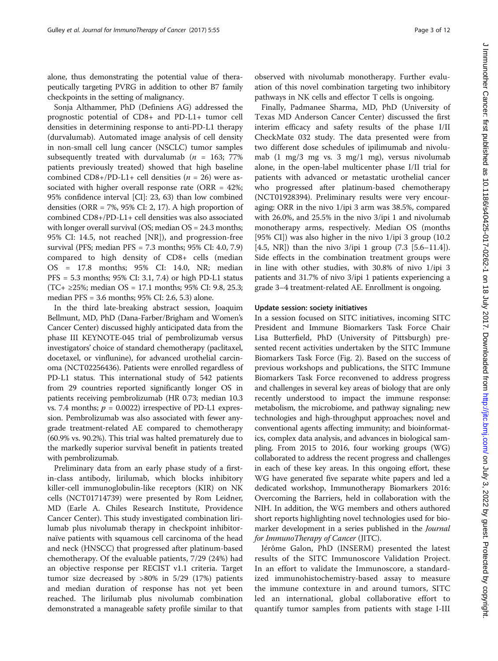alone, thus demonstrating the potential value of therapeutically targeting PVRG in addition to other B7 family checkpoints in the setting of malignancy.

Sonja Althammer, PhD (Definiens AG) addressed the prognostic potential of CD8+ and PD-L1+ tumor cell densities in determining response to anti-PD-L1 therapy (durvalumab). Automated image analysis of cell density in non-small cell lung cancer (NSCLC) tumor samples subsequently treated with durvalumab ( $n = 163$ ; 77% patients previously treated) showed that high baseline combined CD8+/PD-L1+ cell densities ( $n = 26$ ) were associated with higher overall response rate (ORR = 42%; 95% confidence interval [CI]: 23, 63) than low combined densities (ORR = 7%, 95% CI: 2, 17). A high proportion of combined CD8+/PD-L1+ cell densities was also associated with longer overall survival (OS; median OS = 24.3 months; 95% CI: 14.5, not reached [NR]), and progression-free survival (PFS; median PFS = 7.3 months; 95% CI: 4.0, 7.9) compared to high density of CD8+ cells (median OS = 17.8 months; 95% CI: 14.0, NR; median PFS = 5.3 months; 95% CI: 3.1, 7.4) or high PD-L1 status (TC+ ≥25%; median OS = 17.1 months; 95% CI: 9.8, 25.3; median PFS = 3.6 months; 95% CI: 2.6, 5.3) alone.

In the third late-breaking abstract session, Joaquim Bellmunt, MD, PhD (Dana-Farber/Brigham and Women's Cancer Center) discussed highly anticipated data from the phase III KEYNOTE-045 trial of pembrolizumab versus investigators' choice of standard chemotherapy (paclitaxel, docetaxel, or vinflunine), for advanced urothelial carcinoma (NCT02256436). Patients were enrolled regardless of PD-L1 status. This international study of 542 patients from 29 countries reported significantly longer OS in patients receiving pembrolizumab (HR 0.73; median 10.3 vs. 7.4 months;  $p = 0.0022$ ) irrespective of PD-L1 expression. Pembrolizumab was also associated with fewer anygrade treatment-related AE compared to chemotherapy (60.9% vs. 90.2%). This trial was halted prematurely due to the markedly superior survival benefit in patients treated with pembrolizumab.

Preliminary data from an early phase study of a firstin-class antibody, lirilumab, which blocks inhibitory killer-cell immunoglobulin-like receptors (KIR) on NK cells (NCT01714739) were presented by Rom Leidner, MD (Earle A. Chiles Research Institute, Providence Cancer Center). This study investigated combination lirilumab plus nivolumab therapy in checkpoint inhibitornaïve patients with squamous cell carcinoma of the head and neck (HNSCC) that progressed after platinum-based chemotherapy. Of the evaluable patients, 7/29 (24%) had an objective response per RECIST v1.1 criteria. Target tumor size decreased by >80% in 5/29 (17%) patients and median duration of response has not yet been reached. The lirilumab plus nivolumab combination demonstrated a manageable safety profile similar to that

observed with nivolumab monotherapy. Further evaluation of this novel combination targeting two inhibitory pathways in NK cells and effector T cells is ongoing.

Finally, Padmanee Sharma, MD, PhD (University of Texas MD Anderson Cancer Center) discussed the first interim efficacy and safety results of the phase I/II CheckMate 032 study. The data presented were from two different dose schedules of ipilimumab and nivolumab (1 mg/3 mg vs. 3 mg/1 mg), versus nivolumab alone, in the open-label multicenter phase I/II trial for patients with advanced or metastatic urothelial cancer who progressed after platinum-based chemotherapy (NCT01928394). Preliminary results were very encouraging: ORR in the nivo 1/ipi 3 arm was 38.5%, compared with 26.0%, and 25.5% in the nivo 3/ipi 1 and nivolumab monotherapy arms, respectively. Median OS (months [95% CI]) was also higher in the nivo 1/ipi 3 group (10.2 [4.5, NR]) than the nivo 3/ipi 1 group (7.3 [5.6–11.4]). Side effects in the combination treatment groups were in line with other studies, with 30.8% of nivo 1/ipi 3 patients and 31.7% of nivo 3/ipi 1 patients experiencing a grade 3–4 treatment-related AE. Enrollment is ongoing.

#### Update session: society initiatives

In a session focused on SITC initiatives, incoming SITC President and Immune Biomarkers Task Force Chair Lisa Butterfield, PhD (University of Pittsburgh) presented recent activities undertaken by the SITC Immune Biomarkers Task Force (Fig. [2\)](#page-3-0). Based on the success of previous workshops and publications, the SITC Immune Biomarkers Task Force reconvened to address progress and challenges in several key areas of biology that are only recently understood to impact the immune response: metabolism, the microbiome, and pathway signaling; new technologies and high-throughput approaches; novel and conventional agents affecting immunity; and bioinformatics, complex data analysis, and advances in biological sampling. From 2015 to 2016, four working groups (WG) collaborated to address the recent progress and challenges in each of these key areas. In this ongoing effort, these WG have generated five separate white papers and led a dedicated workshop, Immunotherapy Biomarkers 2016: Overcoming the Barriers, held in collaboration with the NIH. In addition, the WG members and others authored short reports highlighting novel technologies used for biomarker development in a series published in the Journal for ImmunoTherapy of Cancer (JITC).

Jérôme Galon, PhD (INSERM) presented the latest results of the SITC Immunoscore Validation Project. In an effort to validate the Immunoscore, a standardized immunohistochemistry-based assay to measure the immune contexture in and around tumors, SITC led an international, global collaborative effort to quantify tumor samples from patients with stage I-III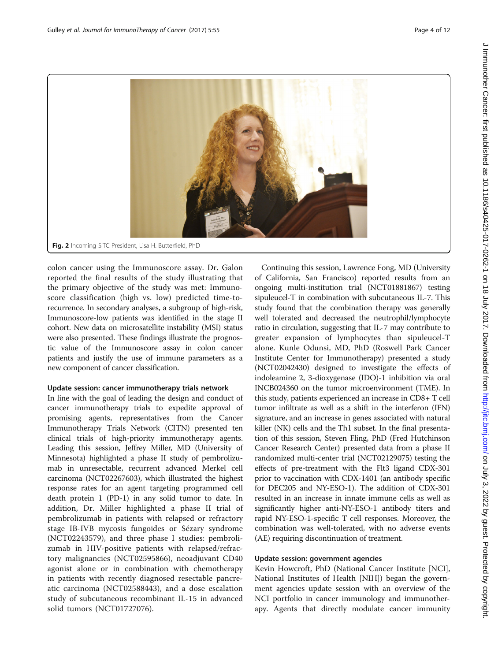<span id="page-3-0"></span>

colon cancer using the Immunoscore assay. Dr. Galon reported the final results of the study illustrating that the primary objective of the study was met: Immunoscore classification (high vs. low) predicted time-torecurrence. In secondary analyses, a subgroup of high-risk, Immunoscore-low patients was identified in the stage II cohort. New data on microsatellite instability (MSI) status were also presented. These findings illustrate the prognostic value of the Immunoscore assay in colon cancer patients and justify the use of immune parameters as a new component of cancer classification.

# Update session: cancer immunotherapy trials network

In line with the goal of leading the design and conduct of cancer immunotherapy trials to expedite approval of promising agents, representatives from the Cancer Immunotherapy Trials Network (CITN) presented ten clinical trials of high-priority immunotherapy agents. Leading this session, Jeffrey Miller, MD (University of Minnesota) highlighted a phase II study of pembrolizumab in unresectable, recurrent advanced Merkel cell carcinoma (NCT02267603), which illustrated the highest response rates for an agent targeting programmed cell death protein 1 (PD-1) in any solid tumor to date. In addition, Dr. Miller highlighted a phase II trial of pembrolizumab in patients with relapsed or refractory stage IB-IVB mycosis fungoides or Sézary syndrome (NCT02243579), and three phase I studies: pembrolizumab in HIV-positive patients with relapsed/refractory malignancies (NCT02595866), neoadjuvant CD40 agonist alone or in combination with chemotherapy in patients with recently diagnosed resectable pancreatic carcinoma (NCT02588443), and a dose escalation study of subcutaneous recombinant IL-15 in advanced solid tumors (NCT01727076).

Continuing this session, Lawrence Fong, MD (University of California, San Francisco) reported results from an ongoing multi-institution trial (NCT01881867) testing sipuleucel-T in combination with subcutaneous IL-7. This study found that the combination therapy was generally well tolerated and decreased the neutrophil/lymphocyte ratio in circulation, suggesting that IL-7 may contribute to greater expansion of lymphocytes than sipuleucel-T alone. Kunle Odunsi, MD, PhD (Roswell Park Cancer Institute Center for Immunotherapy) presented a study (NCT02042430) designed to investigate the effects of indoleamine 2, 3-dioxygenase (IDO)-1 inhibition via oral INCB024360 on the tumor microenvironment (TME). In this study, patients experienced an increase in CD8+ T cell tumor infiltrate as well as a shift in the interferon (IFN) signature, and an increase in genes associated with natural killer (NK) cells and the Th1 subset. In the final presentation of this session, Steven Fling, PhD (Fred Hutchinson Cancer Research Center) presented data from a phase II randomized multi-center trial (NCT02129075) testing the effects of pre-treatment with the Flt3 ligand CDX-301 prior to vaccination with CDX-1401 (an antibody specific for DEC205 and NY-ESO-1). The addition of CDX-301 resulted in an increase in innate immune cells as well as significantly higher anti-NY-ESO-1 antibody titers and rapid NY-ESO-1-specific T cell responses. Moreover, the combination was well-tolerated, with no adverse events (AE) requiring discontinuation of treatment.

# Update session: government agencies

Kevin Howcroft, PhD (National Cancer Institute [NCI], National Institutes of Health [NIH]) began the government agencies update session with an overview of the NCI portfolio in cancer immunology and immunotherapy. Agents that directly modulate cancer immunity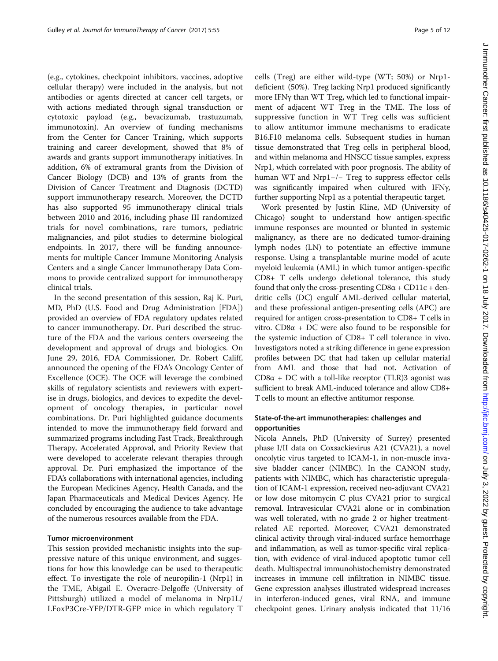(e.g., cytokines, checkpoint inhibitors, vaccines, adoptive cellular therapy) were included in the analysis, but not antibodies or agents directed at cancer cell targets, or with actions mediated through signal transduction or cytotoxic payload (e.g., bevacizumab, trastuzumab, immunotoxin). An overview of funding mechanisms from the Center for Cancer Training, which supports training and career development, showed that 8% of awards and grants support immunotherapy initiatives. In addition, 6% of extramural grants from the Division of Cancer Biology (DCB) and 13% of grants from the Division of Cancer Treatment and Diagnosis (DCTD) support immunotherapy research. Moreover, the DCTD has also supported 95 immunotherapy clinical trials between 2010 and 2016, including phase III randomized trials for novel combinations, rare tumors, pediatric malignancies, and pilot studies to determine biological endpoints. In 2017, there will be funding announcements for multiple Cancer Immune Monitoring Analysis Centers and a single Cancer Immunotherapy Data Commons to provide centralized support for immunotherapy clinical trials.

In the second presentation of this session, Raj K. Puri, MD, PhD (U.S. Food and Drug Administration [FDA]) provided an overview of FDA regulatory updates related to cancer immunotherapy. Dr. Puri described the structure of the FDA and the various centers overseeing the development and approval of drugs and biologics. On June 29, 2016, FDA Commissioner, Dr. Robert Califf, announced the opening of the FDA's Oncology Center of Excellence (OCE). The OCE will leverage the combined skills of regulatory scientists and reviewers with expertise in drugs, biologics, and devices to expedite the development of oncology therapies, in particular novel combinations. Dr. Puri highlighted guidance documents intended to move the immunotherapy field forward and summarized programs including Fast Track, Breakthrough Therapy, Accelerated Approval, and Priority Review that were developed to accelerate relevant therapies through approval. Dr. Puri emphasized the importance of the FDA's collaborations with international agencies, including the European Medicines Agency, Health Canada, and the Japan Pharmaceuticals and Medical Devices Agency. He concluded by encouraging the audience to take advantage of the numerous resources available from the FDA.

# Tumor microenvironment

This session provided mechanistic insights into the suppressive nature of this unique environment, and suggestions for how this knowledge can be used to therapeutic effect. To investigate the role of neuropilin-1 (Nrp1) in the TME, Abigail E. Overacre-Delgoffe (University of Pittsburgh) utilized a model of melanoma in Nrp1L/ LFoxP3Cre-YFP/DTR-GFP mice in which regulatory T cells (Treg) are either wild-type (WT; 50%) or Nrp1 deficient (50%). Treg lacking Nrp1 produced significantly more IFNγ than WT Treg, which led to functional impairment of adjacent WT Treg in the TME. The loss of suppressive function in WT Treg cells was sufficient to allow antitumor immune mechanisms to eradicate B16.F10 melanoma cells. Subsequent studies in human tissue demonstrated that Treg cells in peripheral blood, and within melanoma and HNSCC tissue samples, express Nrp1, which correlated with poor prognosis. The ability of human WT and Nrp1−/− Treg to suppress effector cells was significantly impaired when cultured with IFNγ, further supporting Nrp1 as a potential therapeutic target.

Work presented by Justin Kline, MD (University of Chicago) sought to understand how antigen-specific immune responses are mounted or blunted in systemic malignancy, as there are no dedicated tumor-draining lymph nodes (LN) to potentiate an effective immune response. Using a transplantable murine model of acute myeloid leukemia (AML) in which tumor antigen-specific CD8+ T cells undergo deletional tolerance, this study found that only the cross-presenting  $CD8\alpha + CD11c + den$ dritic cells (DC) engulf AML-derived cellular material, and these professional antigen-presenting cells (APC) are required for antigen cross-presentation to CD8+ T cells in vitro. CD8α + DC were also found to be responsible for the systemic induction of CD8+ T cell tolerance in vivo. Investigators noted a striking difference in gene expression profiles between DC that had taken up cellular material from AML and those that had not. Activation of CD8α + DC with a toll-like receptor (TLR)3 agonist was sufficient to break AML-induced tolerance and allow CD8+ T cells to mount an effective antitumor response.

# State-of-the-art immunotherapies: challenges and opportunities

Nicola Annels, PhD (University of Surrey) presented phase I/II data on Coxsackievirus A21 (CVA21), a novel oncolytic virus targeted to ICAM-1, in non-muscle invasive bladder cancer (NIMBC). In the CANON study, patients with NIMBC, which has characteristic upregulation of ICAM-1 expression, received neo-adjuvant CVA21 or low dose mitomycin C plus CVA21 prior to surgical removal. Intravesicular CVA21 alone or in combination was well tolerated, with no grade 2 or higher treatmentrelated AE reported. Moreover, CVA21 demonstrated clinical activity through viral-induced surface hemorrhage and inflammation, as well as tumor-specific viral replication, with evidence of viral-induced apoptotic tumor cell death. Multispectral immunohistochemistry demonstrated increases in immune cell infiltration in NIMBC tissue. Gene expression analyses illustrated widespread increases in interferon-induced genes, viral RNA, and immune checkpoint genes. Urinary analysis indicated that 11/16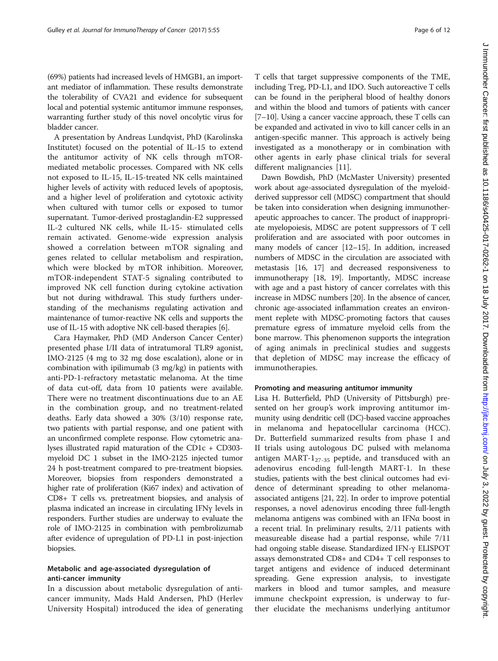(69%) patients had increased levels of HMGB1, an important mediator of inflammation. These results demonstrate the tolerability of CVA21 and evidence for subsequent local and potential systemic antitumor immune responses, warranting further study of this novel oncolytic virus for bladder cancer.

A presentation by Andreas Lundqvist, PhD (Karolinska Institutet) focused on the potential of IL-15 to extend the antitumor activity of NK cells through mTORmediated metabolic processes. Compared with NK cells not exposed to IL-15, IL-15-treated NK cells maintained higher levels of activity with reduced levels of apoptosis, and a higher level of proliferation and cytotoxic activity when cultured with tumor cells or exposed to tumor supernatant. Tumor-derived prostaglandin-E2 suppressed IL-2 cultured NK cells, while IL-15- stimulated cells remain activated. Genome-wide expression analysis showed a correlation between mTOR signaling and genes related to cellular metabolism and respiration, which were blocked by mTOR inhibition. Moreover, mTOR-independent STAT-5 signaling contributed to improved NK cell function during cytokine activation but not during withdrawal. This study furthers understanding of the mechanisms regulating activation and maintenance of tumor-reactive NK cells and supports the use of IL-15 with adoptive NK cell-based therapies [[6](#page-11-0)].

Cara Haymaker, PhD (MD Anderson Cancer Center) presented phase I/II data of intratumoral TLR9 agonist, IMO-2125 (4 mg to 32 mg dose escalation), alone or in combination with ipilimumab (3 mg/kg) in patients with anti-PD-1-refractory metastatic melanoma. At the time of data cut-off, data from 10 patients were available. There were no treatment discontinuations due to an AE in the combination group, and no treatment-related deaths. Early data showed a 30% (3/10) response rate, two patients with partial response, and one patient with an unconfirmed complete response. Flow cytometric analyses illustrated rapid maturation of the CD1c + CD303 myeloid DC 1 subset in the IMO-2125 injected tumor 24 h post-treatment compared to pre-treatment biopsies. Moreover, biopsies from responders demonstrated a higher rate of proliferation (Ki67 index) and activation of CD8+ T cells vs. pretreatment biopsies, and analysis of plasma indicated an increase in circulating IFNγ levels in responders. Further studies are underway to evaluate the role of IMO-2125 in combination with pembrolizumab after evidence of upregulation of PD-L1 in post-injection biopsies.

# Metabolic and age-associated dysregulation of anti-cancer immunity

In a discussion about metabolic dysregulation of anticancer immunity, Mads Hald Andersen, PhD (Herlev University Hospital) introduced the idea of generating T cells that target suppressive components of the TME, including Treg, PD-L1, and IDO. Such autoreactive T cells can be found in the peripheral blood of healthy donors and within the blood and tumors of patients with cancer [[7](#page-11-0)–[10](#page-11-0)]. Using a cancer vaccine approach, these T cells can be expanded and activated in vivo to kill cancer cells in an antigen-specific manner. This approach is actively being investigated as a monotherapy or in combination with other agents in early phase clinical trials for several different malignancies [[11](#page-11-0)].

Dawn Bowdish, PhD (McMaster University) presented work about age-associated dysregulation of the myeloidderived suppressor cell (MDSC) compartment that should be taken into consideration when designing immunotherapeutic approaches to cancer. The product of inappropriate myelopoiesis, MDSC are potent suppressors of T cell proliferation and are associated with poor outcomes in many models of cancer [\[12](#page-11-0)–[15](#page-11-0)]. In addition, increased numbers of MDSC in the circulation are associated with metastasis [\[16, 17\]](#page-11-0) and decreased responsiveness to immunotherapy [\[18, 19](#page-11-0)]. Importantly, MDSC increase with age and a past history of cancer correlates with this increase in MDSC numbers [\[20\]](#page-11-0). In the absence of cancer, chronic age-associated inflammation creates an environment replete with MDSC-promoting factors that causes premature egress of immature myeloid cells from the bone marrow. This phenomenon supports the integration of aging animals in preclinical studies and suggests that depletion of MDSC may increase the efficacy of immunotherapies.

# Promoting and measuring antitumor immunity

Lisa H. Butterfield, PhD (University of Pittsburgh) presented on her group's work improving antitumor immunity using dendritic cell (DC)-based vaccine approaches in melanoma and hepatocellular carcinoma (HCC). Dr. Butterfield summarized results from phase I and II trials using autologous DC pulsed with melanoma antigen MART- $1_{27-35}$  peptide, and transduced with an adenovirus encoding full-length MART-1. In these studies, patients with the best clinical outcomes had evidence of determinant spreading to other melanomaassociated antigens [\[21](#page-11-0), [22\]](#page-11-0). In order to improve potential responses, a novel adenovirus encoding three full-length melanoma antigens was combined with an IFNα boost in a recent trial. In preliminary results, 2/11 patients with measureable disease had a partial response, while 7/11 had ongoing stable disease. Standardized IFN-γ ELISPOT assays demonstrated CD8+ and CD4+ T cell responses to target antigens and evidence of induced determinant spreading. Gene expression analysis, to investigate markers in blood and tumor samples, and measure immune checkpoint expression, is underway to further elucidate the mechanisms underlying antitumor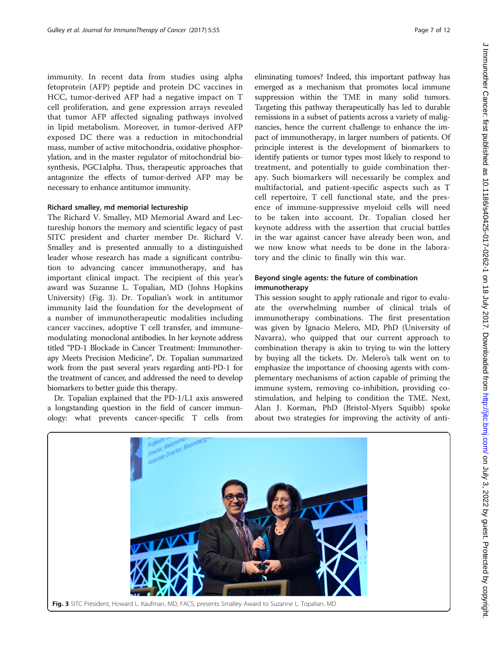immunity. In recent data from studies using alpha fetoprotein (AFP) peptide and protein DC vaccines in HCC, tumor-derived AFP had a negative impact on T cell proliferation, and gene expression arrays revealed that tumor AFP affected signaling pathways involved in lipid metabolism. Moreover, in tumor-derived AFP exposed DC there was a reduction in mitochondrial mass, number of active mitochondria, oxidative phosphorylation, and in the master regulator of mitochondrial biosynthesis, PGC1alpha. Thus, therapeutic approaches that antagonize the effects of tumor-derived AFP may be necessary to enhance antitumor immunity.

## Richard smalley, md memorial lectureship

The Richard V. Smalley, MD Memorial Award and Lectureship honors the memory and scientific legacy of past SITC president and charter member Dr. Richard V. Smalley and is presented annually to a distinguished leader whose research has made a significant contribution to advancing cancer immunotherapy, and has important clinical impact. The recipient of this year's award was Suzanne L. Topalian, MD (Johns Hopkins University) (Fig. 3). Dr. Topalian's work in antitumor immunity laid the foundation for the development of a number of immunotherapeutic modalities including cancer vaccines, adoptive T cell transfer, and immunemodulating monoclonal antibodies. In her keynote address titled "PD-1 Blockade in Cancer Treatment: Immunotherapy Meets Precision Medicine", Dr. Topalian summarized work from the past several years regarding anti-PD-1 for the treatment of cancer, and addressed the need to develop biomarkers to better guide this therapy.

Dr. Topalian explained that the PD-1/L1 axis answered a longstanding question in the field of cancer immunology: what prevents cancer-specific T cells from

eliminating tumors? Indeed, this important pathway has emerged as a mechanism that promotes local immune suppression within the TME in many solid tumors. Targeting this pathway therapeutically has led to durable remissions in a subset of patients across a variety of malignancies, hence the current challenge to enhance the impact of immunotherapy, in larger numbers of patients. Of principle interest is the development of biomarkers to identify patients or tumor types most likely to respond to treatment, and potentially to guide combination therapy. Such biomarkers will necessarily be complex and multifactorial, and patient-specific aspects such as T cell repertoire, T cell functional state, and the presence of immune-suppressive myeloid cells will need to be taken into account. Dr. Topalian closed her keynote address with the assertion that crucial battles in the war against cancer have already been won, and we now know what needs to be done in the laboratory and the clinic to finally win this war.

# Beyond single agents: the future of combination immunotherapy

This session sought to apply rationale and rigor to evaluate the overwhelming number of clinical trials of immunotherapy combinations. The first presentation was given by Ignacio Melero, MD, PhD (University of Navarra), who quipped that our current approach to combination therapy is akin to trying to win the lottery by buying all the tickets. Dr. Melero's talk went on to emphasize the importance of choosing agents with complementary mechanisms of action capable of priming the immune system, removing co-inhibition, providing costimulation, and helping to condition the TME. Next, Alan J. Korman, PhD (Bristol-Myers Squibb) spoke about two strategies for improving the activity of anti-

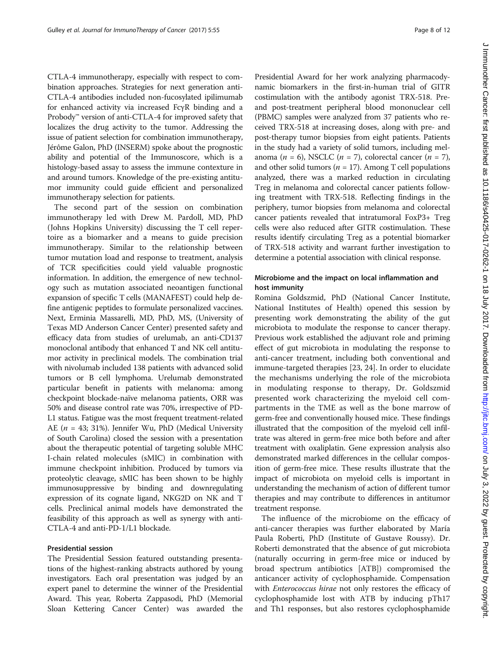CTLA-4 immunotherapy, especially with respect to combination approaches. Strategies for next generation anti-CTLA-4 antibodies included non-fucosylated ipilimumab for enhanced activity via increased FcγR binding and a Probody™ version of anti-CTLA-4 for improved safety that localizes the drug activity to the tumor. Addressing the issue of patient selection for combination immunotherapy, Jérôme Galon, PhD (INSERM) spoke about the prognostic ability and potential of the Immunoscore, which is a histology-based assay to assess the immune contexture in and around tumors. Knowledge of the pre-existing antitumor immunity could guide efficient and personalized immunotherapy selection for patients.

The second part of the session on combination immunotherapy led with Drew M. Pardoll, MD, PhD (Johns Hopkins University) discussing the T cell repertoire as a biomarker and a means to guide precision immunotherapy. Similar to the relationship between tumor mutation load and response to treatment, analysis of TCR specificities could yield valuable prognostic information. In addition, the emergence of new technology such as mutation associated neoantigen functional expansion of specific T cells (MANAFEST) could help define antigenic peptides to formulate personalized vaccines. Next, Erminia Massarelli, MD, PhD, MS, (University of Texas MD Anderson Cancer Center) presented safety and efficacy data from studies of urelumab, an anti-CD137 monoclonal antibody that enhanced T and NK cell antitumor activity in preclinical models. The combination trial with nivolumab included 138 patients with advanced solid tumors or B cell lymphoma. Urelumab demonstrated particular benefit in patients with melanoma: among checkpoint blockade-naïve melanoma patients, ORR was 50% and disease control rate was 70%, irrespective of PD-L1 status. Fatigue was the most frequent treatment-related AE ( $n = 43$ ; 31%). Jennifer Wu, PhD (Medical University of South Carolina) closed the session with a presentation about the therapeutic potential of targeting soluble MHC I-chain related molecules (sMIC) in combination with immune checkpoint inhibition. Produced by tumors via proteolytic cleavage, sMIC has been shown to be highly immunosuppressive by binding and downregulating expression of its cognate ligand, NKG2D on NK and T cells. Preclinical animal models have demonstrated the feasibility of this approach as well as synergy with anti-CTLA-4 and anti-PD-1/L1 blockade.

# Presidential session

The Presidential Session featured outstanding presentations of the highest-ranking abstracts authored by young investigators. Each oral presentation was judged by an expert panel to determine the winner of the Presidential Award. This year, Roberta Zappasodi, PhD (Memorial Sloan Kettering Cancer Center) was awarded the

Presidential Award for her work analyzing pharmacodynamic biomarkers in the first-in-human trial of GITR costimulation with the antibody agonist TRX-518. Preand post-treatment peripheral blood mononuclear cell (PBMC) samples were analyzed from 37 patients who received TRX-518 at increasing doses, along with pre- and post-therapy tumor biopsies from eight patients. Patients in the study had a variety of solid tumors, including melanoma ( $n = 6$ ), NSCLC ( $n = 7$ ), colorectal cancer ( $n = 7$ ), and other solid tumors ( $n = 17$ ). Among T cell populations analyzed, there was a marked reduction in circulating Treg in melanoma and colorectal cancer patients following treatment with TRX-518. Reflecting findings in the periphery, tumor biopsies from melanoma and colorectal cancer patients revealed that intratumoral FoxP3+ Treg cells were also reduced after GITR costimulation. These results identify circulating Treg as a potential biomarker of TRX-518 activity and warrant further investigation to determine a potential association with clinical response.

# Microbiome and the impact on local inflammation and host immunity

Romina Goldszmid, PhD (National Cancer Institute, National Institutes of Health) opened this session by presenting work demonstrating the ability of the gut microbiota to modulate the response to cancer therapy. Previous work established the adjuvant role and priming effect of gut microbiota in modulating the response to anti-cancer treatment, including both conventional and immune-targeted therapies [\[23](#page-11-0), [24](#page-11-0)]. In order to elucidate the mechanisms underlying the role of the microbiota in modulating response to therapy, Dr. Goldszmid presented work characterizing the myeloid cell compartments in the TME as well as the bone marrow of germ-free and conventionally housed mice. These findings illustrated that the composition of the myeloid cell infiltrate was altered in germ-free mice both before and after treatment with oxaliplatin. Gene expression analysis also demonstrated marked differences in the cellular composition of germ-free mice. These results illustrate that the impact of microbiota on myeloid cells is important in understanding the mechanism of action of different tumor therapies and may contribute to differences in antitumor treatment response.

The influence of the microbiome on the efficacy of anti-cancer therapies was further elaborated by María Paula Roberti, PhD (Institute of Gustave Roussy). Dr. Roberti demonstrated that the absence of gut microbiota (naturally occurring in germ-free mice or induced by broad spectrum antibiotics [ATB]) compromised the anticancer activity of cyclophosphamide. Compensation with *Enterococcus hirae* not only restores the efficacy of cyclophosphamide lost with ATB by inducing pTh17 and Th1 responses, but also restores cyclophosphamide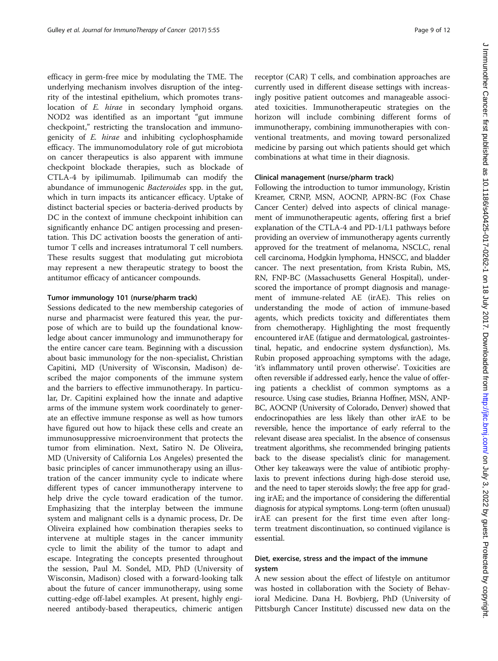efficacy in germ-free mice by modulating the TME. The underlying mechanism involves disruption of the integrity of the intestinal epithelium, which promotes translocation of *E. hirae* in secondary lymphoid organs. NOD2 was identified as an important "gut immune checkpoint," restricting the translocation and immunogenicity of E. hirae and inhibiting cyclophosphamide efficacy. The immunomodulatory role of gut microbiota on cancer therapeutics is also apparent with immune checkpoint blockade therapies, such as blockade of CTLA-4 by ipilimumab. Ipilimumab can modify the abundance of immunogenic Bacteroides spp. in the gut, which in turn impacts its anticancer efficacy. Uptake of distinct bacterial species or bacteria-derived products by DC in the context of immune checkpoint inhibition can significantly enhance DC antigen processing and presentation. This DC activation boosts the generation of antitumor T cells and increases intratumoral T cell numbers. These results suggest that modulating gut microbiota may represent a new therapeutic strategy to boost the antitumor efficacy of anticancer compounds.

#### Tumor immunology 101 (nurse/pharm track)

Sessions dedicated to the new membership categories of nurse and pharmacist were featured this year, the purpose of which are to build up the foundational knowledge about cancer immunology and immunotherapy for the entire cancer care team. Beginning with a discussion about basic immunology for the non-specialist, Christian Capitini, MD (University of Wisconsin, Madison) described the major components of the immune system and the barriers to effective immunotherapy. In particular, Dr. Capitini explained how the innate and adaptive arms of the immune system work coordinately to generate an effective immune response as well as how tumors have figured out how to hijack these cells and create an immunosuppressive microenvironment that protects the tumor from elimination. Next, Satiro N. De Oliveira, MD (University of California Los Angeles) presented the basic principles of cancer immunotherapy using an illustration of the cancer immunity cycle to indicate where different types of cancer immunotherapy intervene to help drive the cycle toward eradication of the tumor. Emphasizing that the interplay between the immune system and malignant cells is a dynamic process, Dr. De Oliveira explained how combination therapies seeks to intervene at multiple stages in the cancer immunity cycle to limit the ability of the tumor to adapt and escape. Integrating the concepts presented throughout the session, Paul M. Sondel, MD, PhD (University of Wisconsin, Madison) closed with a forward-looking talk about the future of cancer immunotherapy, using some cutting-edge off-label examples. At present, highly engineered antibody-based therapeutics, chimeric antigen

receptor (CAR) T cells, and combination approaches are currently used in different disease settings with increasingly positive patient outcomes and manageable associated toxicities. Immunotherapeutic strategies on the horizon will include combining different forms of immunotherapy, combining immunotherapies with conventional treatments, and moving toward personalized medicine by parsing out which patients should get which combinations at what time in their diagnosis.

# Clinical management (nurse/pharm track)

Following the introduction to tumor immunology, Kristin Kreamer, CRNP, MSN, AOCNP, APRN-BC (Fox Chase Cancer Center) delved into aspects of clinical management of immunotherapeutic agents, offering first a brief explanation of the CTLA-4 and PD-1/L1 pathways before providing an overview of immunotherapy agents currently approved for the treatment of melanoma, NSCLC, renal cell carcinoma, Hodgkin lymphoma, HNSCC, and bladder cancer. The next presentation, from Krista Rubin, MS, RN, FNP-BC (Massachusetts General Hospital), underscored the importance of prompt diagnosis and management of immune-related AE (irAE). This relies on understanding the mode of action of immune-based agents, which predicts toxicity and differentiates them from chemotherapy. Highlighting the most frequently encountered irAE (fatigue and dermatological, gastrointestinal, hepatic, and endocrine system dysfunction), Ms. Rubin proposed approaching symptoms with the adage, 'it's inflammatory until proven otherwise'. Toxicities are often reversible if addressed early, hence the value of offering patients a checklist of common symptoms as a resource. Using case studies, Brianna Hoffner, MSN, ANP-BC, AOCNP (University of Colorado, Denver) showed that endocrinopathies are less likely than other irAE to be reversible, hence the importance of early referral to the relevant disease area specialist. In the absence of consensus treatment algorithms, she recommended bringing patients back to the disease specialist's clinic for management. Other key takeaways were the value of antibiotic prophylaxis to prevent infections during high-dose steroid use, and the need to taper steroids slowly; the free app for grading irAE; and the importance of considering the differential diagnosis for atypical symptoms. Long-term (often unusual) irAE can present for the first time even after longterm treatment discontinuation, so continued vigilance is essential.

# Diet, exercise, stress and the impact of the immune system

A new session about the effect of lifestyle on antitumor was hosted in collaboration with the Society of Behavioral Medicine. Dana H. Bovbjerg, PhD (University of Pittsburgh Cancer Institute) discussed new data on the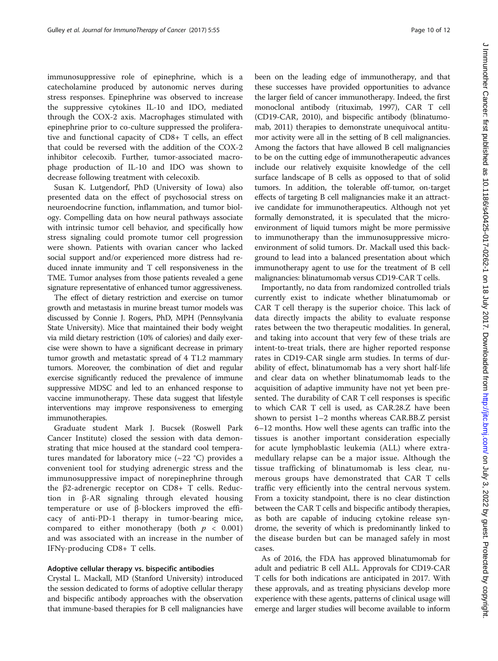immunosuppressive role of epinephrine, which is a catecholamine produced by autonomic nerves during stress responses. Epinephrine was observed to increase the suppressive cytokines IL-10 and IDO, mediated through the COX-2 axis. Macrophages stimulated with epinephrine prior to co-culture suppressed the proliferative and functional capacity of CD8+ T cells, an effect that could be reversed with the addition of the COX-2 inhibitor celecoxib. Further, tumor-associated macrophage production of IL-10 and IDO was shown to decrease following treatment with celecoxib.

Susan K. Lutgendorf, PhD (University of Iowa) also presented data on the effect of psychosocial stress on neuroendocrine function, inflammation, and tumor biology. Compelling data on how neural pathways associate with intrinsic tumor cell behavior, and specifically how stress signaling could promote tumor cell progression were shown. Patients with ovarian cancer who lacked social support and/or experienced more distress had reduced innate immunity and T cell responsiveness in the TME. Tumor analyses from those patients revealed a gene signature representative of enhanced tumor aggressiveness.

The effect of dietary restriction and exercise on tumor growth and metastasis in murine breast tumor models was discussed by Connie J. Rogers, PhD, MPH (Pennsylvania State University). Mice that maintained their body weight via mild dietary restriction (10% of calories) and daily exercise were shown to have a significant decrease in primary tumor growth and metastatic spread of 4 T1.2 mammary tumors. Moreover, the combination of diet and regular exercise significantly reduced the prevalence of immune suppressive MDSC and led to an enhanced response to vaccine immunotherapy. These data suggest that lifestyle interventions may improve responsiveness to emerging immunotherapies.

Graduate student Mark J. Bucsek (Roswell Park Cancer Institute) closed the session with data demonstrating that mice housed at the standard cool temperatures mandated for laboratory mice  $(\sim 22 \text{ °C})$  provides a convenient tool for studying adrenergic stress and the immunosuppressive impact of norepinephrine through the β2-adrenergic receptor on CD8+ T cells. Reduction in β-AR signaling through elevated housing temperature or use of β-blockers improved the efficacy of anti-PD-1 therapy in tumor-bearing mice, compared to either monotherapy (both  $p < 0.001$ ) and was associated with an increase in the number of IFNγ-producing CD8+ T cells.

# Adoptive cellular therapy vs. bispecific antibodies

Crystal L. Mackall, MD (Stanford University) introduced the session dedicated to forms of adoptive cellular therapy and bispecific antibody approaches with the observation that immune-based therapies for B cell malignancies have been on the leading edge of immunotherapy, and that these successes have provided opportunities to advance the larger field of cancer immunotherapy. Indeed, the first monoclonal antibody (rituximab, 1997), CAR T cell (CD19-CAR, 2010), and bispecific antibody (blinatumomab, 2011) therapies to demonstrate unequivocal antitumor activity were all in the setting of B cell malignancies. Among the factors that have allowed B cell malignancies to be on the cutting edge of immunotherapeutic advances include our relatively exquisite knowledge of the cell surface landscape of B cells as opposed to that of solid tumors. In addition, the tolerable off-tumor, on-target effects of targeting B cell malignancies make it an attractive candidate for immunotherapeutics. Although not yet formally demonstrated, it is speculated that the microenvironment of liquid tumors might be more permissive to immunotherapy than the immunosuppressive microenvironment of solid tumors. Dr. Mackall used this background to lead into a balanced presentation about which immunotherapy agent to use for the treatment of B cell malignancies: blinatumomab versus CD19-CAR T cells.

Importantly, no data from randomized controlled trials currently exist to indicate whether blinatumomab or CAR T cell therapy is the superior choice. This lack of data directly impacts the ability to evaluate response rates between the two therapeutic modalities. In general, and taking into account that very few of these trials are intent-to-treat trials, there are higher reported response rates in CD19-CAR single arm studies. In terms of durability of effect, blinatumomab has a very short half-life and clear data on whether blinatumomab leads to the acquisition of adaptive immunity have not yet been presented. The durability of CAR T cell responses is specific to which CAR T cell is used, as CAR.28.Z have been shown to persist 1–2 months whereas CAR.BB.Z persist 6–12 months. How well these agents can traffic into the tissues is another important consideration especially for acute lymphoblastic leukemia (ALL) where extramedullary relapse can be a major issue. Although the tissue trafficking of blinatumomab is less clear, numerous groups have demonstrated that CAR T cells traffic very efficiently into the central nervous system. From a toxicity standpoint, there is no clear distinction between the CAR T cells and bispecific antibody therapies, as both are capable of inducing cytokine release syndrome, the severity of which is predominantly linked to the disease burden but can be managed safely in most cases.

As of 2016, the FDA has approved blinatumomab for adult and pediatric B cell ALL. Approvals for CD19-CAR T cells for both indications are anticipated in 2017. With these approvals, and as treating physicians develop more experience with these agents, patterns of clinical usage will emerge and larger studies will become available to inform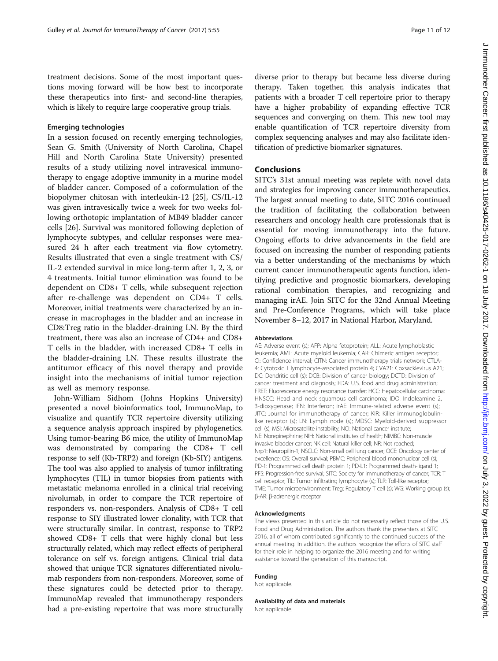treatment decisions. Some of the most important questions moving forward will be how best to incorporate these therapeutics into first- and second-line therapies, which is likely to require large cooperative group trials.

## Emerging technologies

In a session focused on recently emerging technologies, Sean G. Smith (University of North Carolina, Chapel Hill and North Carolina State University) presented results of a study utilizing novel intravesical immunotherapy to engage adoptive immunity in a murine model of bladder cancer. Composed of a coformulation of the biopolymer chitosan with interleukin-12 [[25](#page-11-0)], CS/IL-12 was given intravesically twice a week for two weeks following orthotopic implantation of MB49 bladder cancer cells [[26\]](#page-11-0). Survival was monitored following depletion of lymphocyte subtypes, and cellular responses were measured 24 h after each treatment via flow cytometry. Results illustrated that even a single treatment with CS/ IL-2 extended survival in mice long-term after 1, 2, 3, or 4 treatments. Initial tumor elimination was found to be dependent on CD8+ T cells, while subsequent rejection after re-challenge was dependent on CD4+ T cells. Moreover, initial treatments were characterized by an increase in macrophages in the bladder and an increase in CD8:Treg ratio in the bladder-draining LN. By the third treatment, there was also an increase of CD4+ and CD8+ T cells in the bladder, with increased CD8+ T cells in the bladder-draining LN. These results illustrate the antitumor efficacy of this novel therapy and provide insight into the mechanisms of initial tumor rejection as well as memory response.

John-William Sidhom (Johns Hopkins University) presented a novel bioinformatics tool, ImmunoMap, to visualize and quantify TCR repertoire diversity utilizing a sequence analysis approach inspired by phylogenetics. Using tumor-bearing B6 mice, the utility of ImmunoMap was demonstrated by comparing the CD8+ T cell response to self (Kb-TRP2) and foreign (Kb-SIY) antigens. The tool was also applied to analysis of tumor infiltrating lymphocytes (TIL) in tumor biopsies from patients with metastatic melanoma enrolled in a clinical trial receiving nivolumab, in order to compare the TCR repertoire of responders vs. non-responders. Analysis of CD8+ T cell response to SIY illustrated lower clonality, with TCR that were structurally similar. In contrast, response to TRP2 showed CD8+ T cells that were highly clonal but less structurally related, which may reflect effects of peripheral tolerance on self vs. foreign antigens. Clinical trial data showed that unique TCR signatures differentiated nivolumab responders from non-responders. Moreover, some of these signatures could be detected prior to therapy. ImmunoMap revealed that immunotherapy responders had a pre-existing repertoire that was more structurally

diverse prior to therapy but became less diverse during therapy. Taken together, this analysis indicates that patients with a broader T cell repertoire prior to therapy have a higher probability of expanding effective TCR sequences and converging on them. This new tool may enable quantification of TCR repertoire diversity from complex sequencing analyses and may also facilitate identification of predictive biomarker signatures.

# Conclusions

SITC's 31st annual meeting was replete with novel data and strategies for improving cancer immunotherapeutics. The largest annual meeting to date, SITC 2016 continued the tradition of facilitating the collaboration between researchers and oncology health care professionals that is essential for moving immunotherapy into the future. Ongoing efforts to drive advancements in the field are focused on increasing the number of responding patients via a better understanding of the mechanisms by which current cancer immunotherapeutic agents function, identifying predictive and prognostic biomarkers, developing rational combination therapies, and recognizing and managing irAE. Join SITC for the 32nd Annual Meeting and Pre-Conference Programs, which will take place November 8–12, 2017 in National Harbor, Maryland.

#### Abbreviations

AE: Adverse event (s); AFP: Alpha fetoprotein; ALL: Acute lymphoblastic leukemia; AML: Acute myeloid leukemia; CAR: Chimeric antigen receptor; CI: Confidence interval; CITN: Cancer immunotherapy trials network; CTLA-4: Cytotoxic T lymphocyte-associated protein 4; CVA21: Coxsackievirus A21; DC: Dendritic cell (s); DCB: Division of cancer biology; DCTD: Division of cancer treatment and diagnosis; FDA: U.S. food and drug administration; FRET: Fluorescence energy resonance transfer; HCC: Hepatocellular carcinoma; HNSCC: Head and neck squamous cell carcinoma; IDO: Indoleamine 2, 3-dioxygenase; IFN: Interferon; irAE: Immune-related adverse event (s); JITC: Journal for immunotherapy of cancer; KIR: Killer immunoglobulinlike receptor (s); LN: Lymph node (s); MDSC: Myeloid-derived suppressor cell (s); MSI: Microsatellite instability; NCI: National cancer institute; NE: Norepinephrine; NIH: National institutes of health; NIMBC: Non-muscle invasive bladder cancer; NK cell: Natural killer cell; NR: Not reached; Nrp1: Neuropilin-1; NSCLC: Non-small cell lung cancer; OCE: Oncology center of excellence; OS: Overall survival; PBMC: Peripheral blood mononuclear cell (s); PD-1: Programmed cell death protein 1; PD-L1: Programmed death-ligand 1; PFS: Progression-free survival; SITC: Society for immunotherapy of cancer; TCR: T cell receptor; TIL: Tumor infiltrating lymphocyte (s); TLR: Toll-like receptor; TME: Tumor microenvironment; Treg: Regulatory T cell (s); WG: Working group (s); β-AR: β-adrenergic receptor

#### Acknowledgments

The views presented in this article do not necessarily reflect those of the U.S. Food and Drug Administration. The authors thank the presenters at SITC 2016, all of whom contributed significantly to the continued success of the annual meeting. In addition, the authors recognize the efforts of SITC staff for their role in helping to organize the 2016 meeting and for writing assistance toward the generation of this manuscript.

#### Funding

Not applicable.

Availability of data and materials Not applicable.